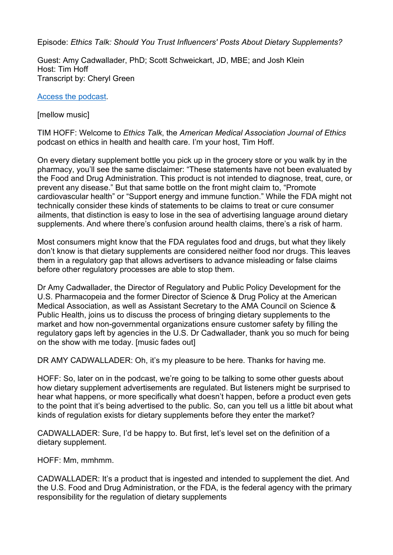Episode: *Ethics Talk: Should You Trust Influencers' Posts About Dietary Supplements?*

Guest: Amy Cadwallader, PhD; Scott Schweickart, JD, MBE; and Josh Klein Host: Tim Hoff Transcript by: Cheryl Green

[Access the podcast.](https://journalofethics.ama-assn.org/podcast/ethics-talk-should-you-trust-influencers-posts-about-dietary-supplements)

[mellow music]

TIM HOFF: Welcome to *Ethics Talk*, the *American Medical Association Journal of Ethics* podcast on ethics in health and health care. I'm your host, Tim Hoff.

On every dietary supplement bottle you pick up in the grocery store or you walk by in the pharmacy, you'll see the same disclaimer: "These statements have not been evaluated by the Food and Drug Administration. This product is not intended to diagnose, treat, cure, or prevent any disease." But that same bottle on the front might claim to, "Promote cardiovascular health" or "Support energy and immune function." While the FDA might not technically consider these kinds of statements to be claims to treat or cure consumer ailments, that distinction is easy to lose in the sea of advertising language around dietary supplements. And where there's confusion around health claims, there's a risk of harm.

Most consumers might know that the FDA regulates food and drugs, but what they likely don't know is that dietary supplements are considered neither food nor drugs. This leaves them in a regulatory gap that allows advertisers to advance misleading or false claims before other regulatory processes are able to stop them.

Dr Amy Cadwallader, the Director of Regulatory and Public Policy Development for the U.S. Pharmacopeia and the former Director of Science & Drug Policy at the American Medical Association, as well as Assistant Secretary to the AMA Council on Science & Public Health, joins us to discuss the process of bringing dietary supplements to the market and how non-governmental organizations ensure customer safety by filling the regulatory gaps left by agencies in the U.S. Dr Cadwallader, thank you so much for being on the show with me today. [music fades out]

DR AMY CADWALLADER: Oh, it's my pleasure to be here. Thanks for having me.

HOFF: So, later on in the podcast, we're going to be talking to some other guests about how dietary supplement advertisements are regulated. But listeners might be surprised to hear what happens, or more specifically what doesn't happen, before a product even gets to the point that it's being advertised to the public. So, can you tell us a little bit about what kinds of regulation exists for dietary supplements before they enter the market?

CADWALLADER: Sure, I'd be happy to. But first, let's level set on the definition of a dietary supplement.

HOFF: Mm, mmhmm.

CADWALLADER: It's a product that is ingested and intended to supplement the diet. And the U.S. Food and Drug Administration, or the FDA, is the federal agency with the primary responsibility for the regulation of dietary supplements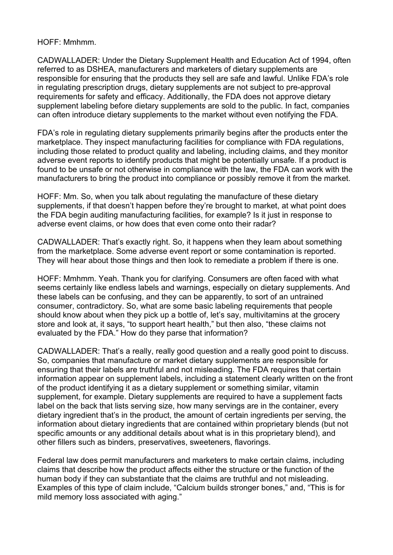## HOFF: Mmhmm.

CADWALLADER: Under the Dietary Supplement Health and Education Act of 1994, often referred to as DSHEA, manufacturers and marketers of dietary supplements are responsible for ensuring that the products they sell are safe and lawful. Unlike FDA's role in regulating prescription drugs, dietary supplements are not subject to pre-approval requirements for safety and efficacy. Additionally, the FDA does not approve dietary supplement labeling before dietary supplements are sold to the public. In fact, companies can often introduce dietary supplements to the market without even notifying the FDA.

FDA's role in regulating dietary supplements primarily begins after the products enter the marketplace. They inspect manufacturing facilities for compliance with FDA regulations, including those related to product quality and labeling, including claims, and they monitor adverse event reports to identify products that might be potentially unsafe. If a product is found to be unsafe or not otherwise in compliance with the law, the FDA can work with the manufacturers to bring the product into compliance or possibly remove it from the market.

HOFF: Mm. So, when you talk about regulating the manufacture of these dietary supplements, if that doesn't happen before they're brought to market, at what point does the FDA begin auditing manufacturing facilities, for example? Is it just in response to adverse event claims, or how does that even come onto their radar?

CADWALLADER: That's exactly right. So, it happens when they learn about something from the marketplace. Some adverse event report or some contamination is reported. They will hear about those things and then look to remediate a problem if there is one.

HOFF: Mmhmm. Yeah. Thank you for clarifying. Consumers are often faced with what seems certainly like endless labels and warnings, especially on dietary supplements. And these labels can be confusing, and they can be apparently, to sort of an untrained consumer, contradictory. So, what are some basic labeling requirements that people should know about when they pick up a bottle of, let's say, multivitamins at the grocery store and look at, it says, "to support heart health," but then also, "these claims not evaluated by the FDA." How do they parse that information?

CADWALLADER: That's a really, really good question and a really good point to discuss. So, companies that manufacture or market dietary supplements are responsible for ensuring that their labels are truthful and not misleading. The FDA requires that certain information appear on supplement labels, including a statement clearly written on the front of the product identifying it as a dietary supplement or something similar, vitamin supplement, for example. Dietary supplements are required to have a supplement facts label on the back that lists serving size, how many servings are in the container, every dietary ingredient that's in the product, the amount of certain ingredients per serving, the information about dietary ingredients that are contained within proprietary blends (but not specific amounts or any additional details about what is in this proprietary blend), and other fillers such as binders, preservatives, sweeteners, flavorings.

Federal law does permit manufacturers and marketers to make certain claims, including claims that describe how the product affects either the structure or the function of the human body if they can substantiate that the claims are truthful and not misleading. Examples of this type of claim include, "Calcium builds stronger bones," and, "This is for mild memory loss associated with aging."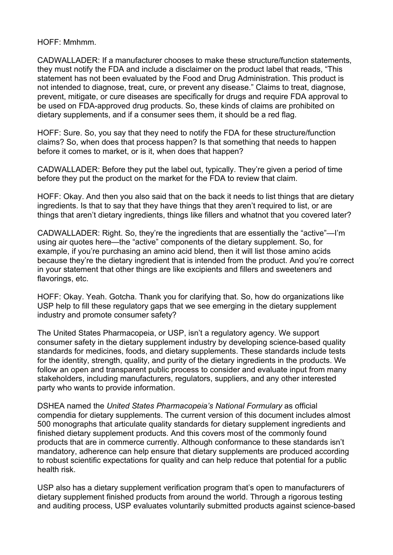HOFF: Mmhmm.

CADWALLADER: If a manufacturer chooses to make these structure/function statements, they must notify the FDA and include a disclaimer on the product label that reads, "This statement has not been evaluated by the Food and Drug Administration. This product is not intended to diagnose, treat, cure, or prevent any disease." Claims to treat, diagnose, prevent, mitigate, or cure diseases are specifically for drugs and require FDA approval to be used on FDA-approved drug products. So, these kinds of claims are prohibited on dietary supplements, and if a consumer sees them, it should be a red flag.

HOFF: Sure. So, you say that they need to notify the FDA for these structure/function claims? So, when does that process happen? Is that something that needs to happen before it comes to market, or is it, when does that happen?

CADWALLADER: Before they put the label out, typically. They're given a period of time before they put the product on the market for the FDA to review that claim.

HOFF: Okay. And then you also said that on the back it needs to list things that are dietary ingredients. Is that to say that they have things that they aren't required to list, or are things that aren't dietary ingredients, things like fillers and whatnot that you covered later?

CADWALLADER: Right. So, they're the ingredients that are essentially the "active"—I'm using air quotes here—the "active" components of the dietary supplement. So, for example, if you're purchasing an amino acid blend, then it will list those amino acids because they're the dietary ingredient that is intended from the product. And you're correct in your statement that other things are like excipients and fillers and sweeteners and flavorings, etc.

HOFF: Okay. Yeah. Gotcha. Thank you for clarifying that. So, how do organizations like USP help to fill these regulatory gaps that we see emerging in the dietary supplement industry and promote consumer safety?

The United States Pharmacopeia, or USP, isn't a regulatory agency. We support consumer safety in the dietary supplement industry by developing science-based quality standards for medicines, foods, and dietary supplements. These standards include tests for the identity, strength, quality, and purity of the dietary ingredients in the products. We follow an open and transparent public process to consider and evaluate input from many stakeholders, including manufacturers, regulators, suppliers, and any other interested party who wants to provide information.

DSHEA named the *United States Pharmacopeia's National Formulary* as official compendia for dietary supplements. The current version of this document includes almost 500 monographs that articulate quality standards for dietary supplement ingredients and finished dietary supplement products. And this covers most of the commonly found products that are in commerce currently. Although conformance to these standards isn't mandatory, adherence can help ensure that dietary supplements are produced according to robust scientific expectations for quality and can help reduce that potential for a public health risk.

USP also has a dietary supplement verification program that's open to manufacturers of dietary supplement finished products from around the world. Through a rigorous testing and auditing process, USP evaluates voluntarily submitted products against science-based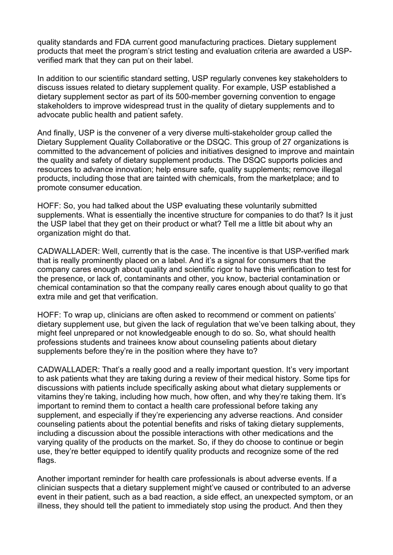quality standards and FDA current good manufacturing practices. Dietary supplement products that meet the program's strict testing and evaluation criteria are awarded a USPverified mark that they can put on their label.

In addition to our scientific standard setting, USP regularly convenes key stakeholders to discuss issues related to dietary supplement quality. For example, USP established a dietary supplement sector as part of its 500-member governing convention to engage stakeholders to improve widespread trust in the quality of dietary supplements and to advocate public health and patient safety.

And finally, USP is the convener of a very diverse multi-stakeholder group called the Dietary Supplement Quality Collaborative or the DSQC. This group of 27 organizations is committed to the advancement of policies and initiatives designed to improve and maintain the quality and safety of dietary supplement products. The DSQC supports policies and resources to advance innovation; help ensure safe, quality supplements; remove illegal products, including those that are tainted with chemicals, from the marketplace; and to promote consumer education.

HOFF: So, you had talked about the USP evaluating these voluntarily submitted supplements. What is essentially the incentive structure for companies to do that? Is it just the USP label that they get on their product or what? Tell me a little bit about why an organization might do that.

CADWALLADER: Well, currently that is the case. The incentive is that USP-verified mark that is really prominently placed on a label. And it's a signal for consumers that the company cares enough about quality and scientific rigor to have this verification to test for the presence, or lack of, contaminants and other, you know, bacterial contamination or chemical contamination so that the company really cares enough about quality to go that extra mile and get that verification.

HOFF: To wrap up, clinicians are often asked to recommend or comment on patients' dietary supplement use, but given the lack of regulation that we've been talking about, they might feel unprepared or not knowledgeable enough to do so. So, what should health professions students and trainees know about counseling patients about dietary supplements before they're in the position where they have to?

CADWALLADER: That's a really good and a really important question. It's very important to ask patients what they are taking during a review of their medical history. Some tips for discussions with patients include specifically asking about what dietary supplements or vitamins they're taking, including how much, how often, and why they're taking them. It's important to remind them to contact a health care professional before taking any supplement, and especially if they're experiencing any adverse reactions. And consider counseling patients about the potential benefits and risks of taking dietary supplements, including a discussion about the possible interactions with other medications and the varying quality of the products on the market. So, if they do choose to continue or begin use, they're better equipped to identify quality products and recognize some of the red flags.

Another important reminder for health care professionals is about adverse events. If a clinician suspects that a dietary supplement might've caused or contributed to an adverse event in their patient, such as a bad reaction, a side effect, an unexpected symptom, or an illness, they should tell the patient to immediately stop using the product. And then they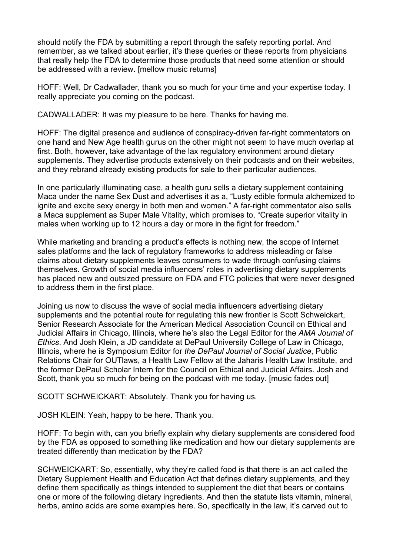should notify the FDA by submitting a report through the safety reporting portal. And remember, as we talked about earlier, it's these queries or these reports from physicians that really help the FDA to determine those products that need some attention or should be addressed with a review. [mellow music returns]

HOFF: Well, Dr Cadwallader, thank you so much for your time and your expertise today. I really appreciate you coming on the podcast.

CADWALLADER: It was my pleasure to be here. Thanks for having me.

HOFF: The digital presence and audience of conspiracy-driven far-right commentators on one hand and New Age health gurus on the other might not seem to have much overlap at first. Both, however, take advantage of the lax regulatory environment around dietary supplements. They advertise products extensively on their podcasts and on their websites, and they rebrand already existing products for sale to their particular audiences.

In one particularly illuminating case, a health guru sells a dietary supplement containing Maca under the name Sex Dust and advertises it as a, "Lusty edible formula alchemized to ignite and excite sexy energy in both men and women." A far-right commentator also sells a Maca supplement as Super Male Vitality, which promises to, "Create superior vitality in males when working up to 12 hours a day or more in the fight for freedom."

While marketing and branding a product's effects is nothing new, the scope of Internet sales platforms and the lack of regulatory frameworks to address misleading or false claims about dietary supplements leaves consumers to wade through confusing claims themselves. Growth of social media influencers' roles in advertising dietary supplements has placed new and outsized pressure on FDA and FTC policies that were never designed to address them in the first place.

Joining us now to discuss the wave of social media influencers advertising dietary supplements and the potential route for regulating this new frontier is Scott Schweickart, Senior Research Associate for the American Medical Association Council on Ethical and Judicial Affairs in Chicago, Illinois, where he's also the Legal Editor for the *AMA Journal of Ethics*. And Josh Klein, a JD candidate at DePaul University College of Law in Chicago, Illinois, where he is Symposium Editor for *the DePaul Journal of Social Justice*, Public Relations Chair for OUTlaws, a Health Law Fellow at the Jaharis Health Law Institute, and the former DePaul Scholar Intern for the Council on Ethical and Judicial Affairs. Josh and Scott, thank you so much for being on the podcast with me today. [music fades out]

SCOTT SCHWEICKART: Absolutely. Thank you for having us.

JOSH KLEIN: Yeah, happy to be here. Thank you.

HOFF: To begin with, can you briefly explain why dietary supplements are considered food by the FDA as opposed to something like medication and how our dietary supplements are treated differently than medication by the FDA?

SCHWEICKART: So, essentially, why they're called food is that there is an act called the Dietary Supplement Health and Education Act that defines dietary supplements, and they define them specifically as things intended to supplement the diet that bears or contains one or more of the following dietary ingredients. And then the statute lists vitamin, mineral, herbs, amino acids are some examples here. So, specifically in the law, it's carved out to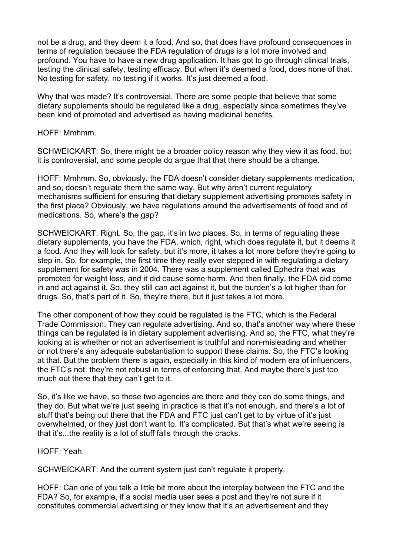not be a drug, and they deem it a food. And so, that does have profound consequences in terms of regulation because the FDA regulation of drugs is a lot more involved and profound. You have to have a new drug application. It has got to go through clinical trials, testing the clinical safety, testing efficacy. But when it's deemed a food, does none of that. No testing for safety, no testing if it works. It's just deemed a food.

Why that was made? It's controversial. There are some people that believe that some dietary supplements should be regulated like a drug, especially since sometimes they've been kind of promoted and advertised as having medicinal benefits.

HOFF: Mmhmm.

SCHWEICKART: So, there might be a broader policy reason why they view it as food, but it is controversial, and some people do argue that that there should be a change.

HOFF: Mmhmm. So, obviously, the FDA doesn't consider dietary supplements medication, and so, doesn't regulate them the same way. But why aren't current regulatory mechanisms sufficient for ensuring that dietary supplement advertising promotes safety in the first place? Obviously, we have regulations around the advertisements of food and of medications. So, where's the gap?

SCHWEICKART: Right. So, the gap, it's in two places. So, in terms of regulating these dietary supplements, you have the FDA, which, right, which does regulate it, but it deems it a food. And they will look for safety, but it's more, it takes a lot more before they're going to step in. So, for example, the first time they really ever stepped in with regulating a dietary supplement for safety was in 2004. There was a supplement called Ephedra that was promoted for weight loss, and it did cause some harm. And then finally, the FDA did come in and act against it. So, they still can act against it, but the burden's a lot higher than for drugs. So, that's part of it. So, they're there, but it just takes a lot more.

The other component of how they could be regulated is the FTC, which is the Federal Trade Commission. They can regulate advertising. And so, that's another way where these things can be regulated is in dietary supplement advertising. And so, the FTC, what they're looking at is whether or not an advertisement is truthful and non-misleading and whether or not there's any adequate substantiation to support these claims. So, the FTC's looking at that. But the problem there is again, especially in this kind of modern era of influencers, the FTC's not, they're not robust in terms of enforcing that. And maybe there's just too much out there that they can't get to it.

So, it's like we have, so these two agencies are there and they can do some things, and they do. But what we're just seeing in practice is that it's not enough, and there's a lot of stuff that's being out there that the FDA and FTC just can't get to by virtue of it's just overwhelmed, or they just don't want to. It's complicated. But that's what we're seeing is that it's...the reality is a lot of stuff falls through the cracks.

## HOFF: Yeah.

SCHWEICKART: And the current system just can't regulate it properly.

HOFF: Can one of you talk a little bit more about the interplay between the FTC and the FDA? So, for example, if a social media user sees a post and they're not sure if it constitutes commercial advertising or they know that it's an advertisement and they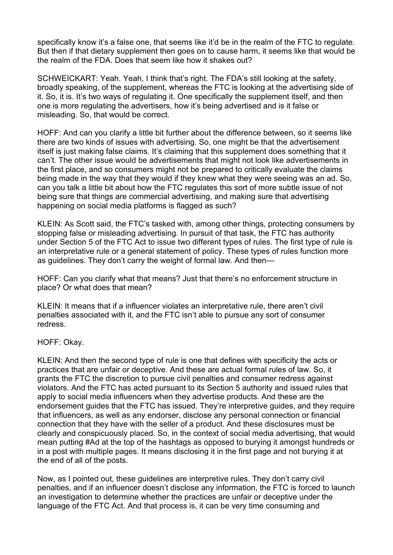specifically know it's a false one, that seems like it'd be in the realm of the FTC to regulate. But then if that dietary supplement then goes on to cause harm, it seems like that would be the realm of the FDA. Does that seem like how it shakes out?

SCHWEICKART: Yeah. Yeah, I think that's right. The FDA's still looking at the safety, broadly speaking, of the supplement, whereas the FTC is looking at the advertising side of it. So, it is. It's two ways of regulating it. One specifically the supplement itself, and then one is more regulating the advertisers, how it's being advertised and is it false or misleading. So, that would be correct.

HOFF: And can you clarify a little bit further about the difference between, so it seems like there are two kinds of issues with advertising. So, one might be that the advertisement itself is just making false claims. It's claiming that this supplement does something that it can't. The other issue would be advertisements that might not look like advertisements in the first place, and so consumers might not be prepared to critically evaluate the claims being made in the way that they would if they knew what they were seeing was an ad. So, can you talk a little bit about how the FTC regulates this sort of more subtle issue of not being sure that things are commercial advertising, and making sure that advertising happening on social media platforms is flagged as such?

KLEIN: As Scott said, the FTC's tasked with, among other things, protecting consumers by stopping false or misleading advertising. In pursuit of that task, the FTC has authority under Section 5 of the FTC Act to issue two different types of rules. The first type of rule is an interpretative rule or a general statement of policy. These types of rules function more as guidelines. They don't carry the weight of formal law. And then—

HOFF: Can you clarify what that means? Just that there's no enforcement structure in place? Or what does that mean?

KLEIN: It means that if a influencer violates an interpretative rule, there aren't civil penalties associated with it, and the FTC isn't able to pursue any sort of consumer redress.

HOFF: Okay.

KLEIN: And then the second type of rule is one that defines with specificity the acts or practices that are unfair or deceptive. And these are actual formal rules of law. So, it grants the FTC the discretion to pursue civil penalties and consumer redress against violators. And the FTC has acted pursuant to its Section 5 authority and issued rules that apply to social media influencers when they advertise products. And these are the endorsement guides that the FTC has issued. They're interpretive guides, and they require that influencers, as well as any endorser, disclose any personal connection or financial connection that they have with the seller of a product. And these disclosures must be clearly and conspicuously placed. So, in the context of social media advertising, that would mean putting #Ad at the top of the hashtags as opposed to burying it amongst hundreds or in a post with multiple pages. It means disclosing it in the first page and not burying it at the end of all of the posts.

Now, as I pointed out, these guidelines are interpretive rules. They don't carry civil penalties, and if an influencer doesn't disclose any information, the FTC is forced to launch an investigation to determine whether the practices are unfair or deceptive under the language of the FTC Act. And that process is, it can be very time consuming and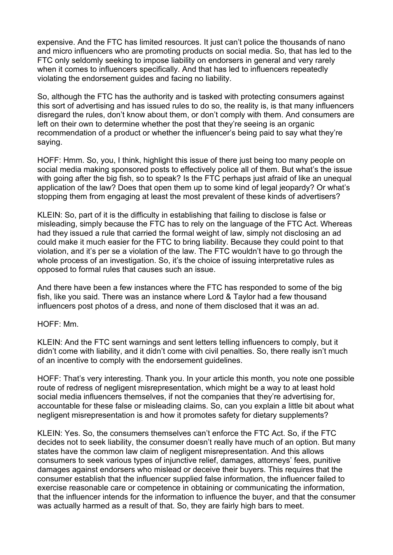expensive. And the FTC has limited resources. It just can't police the thousands of nano and micro influencers who are promoting products on social media. So, that has led to the FTC only seldomly seeking to impose liability on endorsers in general and very rarely when it comes to influencers specifically. And that has led to influencers repeatedly violating the endorsement guides and facing no liability.

So, although the FTC has the authority and is tasked with protecting consumers against this sort of advertising and has issued rules to do so, the reality is, is that many influencers disregard the rules, don't know about them, or don't comply with them. And consumers are left on their own to determine whether the post that they're seeing is an organic recommendation of a product or whether the influencer's being paid to say what they're saying.

HOFF: Hmm. So, you, I think, highlight this issue of there just being too many people on social media making sponsored posts to effectively police all of them. But what's the issue with going after the big fish, so to speak? Is the FTC perhaps just afraid of like an unequal application of the law? Does that open them up to some kind of legal jeopardy? Or what's stopping them from engaging at least the most prevalent of these kinds of advertisers?

KLEIN: So, part of it is the difficulty in establishing that failing to disclose is false or misleading, simply because the FTC has to rely on the language of the FTC Act. Whereas had they issued a rule that carried the formal weight of law, simply not disclosing an ad could make it much easier for the FTC to bring liability. Because they could point to that violation, and it's per se a violation of the law. The FTC wouldn't have to go through the whole process of an investigation. So, it's the choice of issuing interpretative rules as opposed to formal rules that causes such an issue.

And there have been a few instances where the FTC has responded to some of the big fish, like you said. There was an instance where Lord & Taylor had a few thousand influencers post photos of a dress, and none of them disclosed that it was an ad.

HOFF: Mm.

KLEIN: And the FTC sent warnings and sent letters telling influencers to comply, but it didn't come with liability, and it didn't come with civil penalties. So, there really isn't much of an incentive to comply with the endorsement guidelines.

HOFF: That's very interesting. Thank you. In your article this month, you note one possible route of redress of negligent misrepresentation, which might be a way to at least hold social media influencers themselves, if not the companies that they're advertising for, accountable for these false or misleading claims. So, can you explain a little bit about what negligent misrepresentation is and how it promotes safety for dietary supplements?

KLEIN: Yes. So, the consumers themselves can't enforce the FTC Act. So, if the FTC decides not to seek liability, the consumer doesn't really have much of an option. But many states have the common law claim of negligent misrepresentation. And this allows consumers to seek various types of injunctive relief, damages, attorneys' fees, punitive damages against endorsers who mislead or deceive their buyers. This requires that the consumer establish that the influencer supplied false information, the influencer failed to exercise reasonable care or competence in obtaining or communicating the information, that the influencer intends for the information to influence the buyer, and that the consumer was actually harmed as a result of that. So, they are fairly high bars to meet.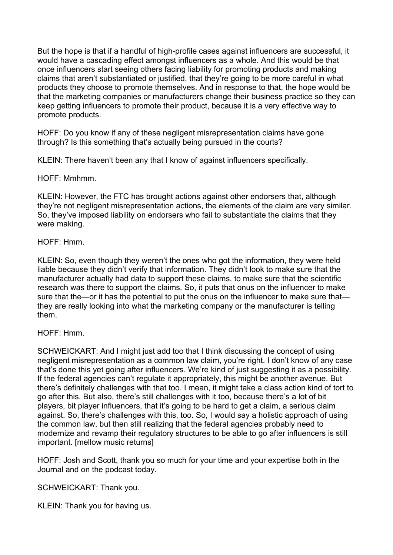But the hope is that if a handful of high-profile cases against influencers are successful, it would have a cascading effect amongst influencers as a whole. And this would be that once influencers start seeing others facing liability for promoting products and making claims that aren't substantiated or justified, that they're going to be more careful in what products they choose to promote themselves. And in response to that, the hope would be that the marketing companies or manufacturers change their business practice so they can keep getting influencers to promote their product, because it is a very effective way to promote products.

HOFF: Do you know if any of these negligent misrepresentation claims have gone through? Is this something that's actually being pursued in the courts?

KLEIN: There haven't been any that I know of against influencers specifically.

HOFF: Mmhmm.

KLEIN: However, the FTC has brought actions against other endorsers that, although they're not negligent misrepresentation actions, the elements of the claim are very similar. So, they've imposed liability on endorsers who fail to substantiate the claims that they were making.

## HOFF: Hmm.

KLEIN: So, even though they weren't the ones who got the information, they were held liable because they didn't verify that information. They didn't look to make sure that the manufacturer actually had data to support these claims, to make sure that the scientific research was there to support the claims. So, it puts that onus on the influencer to make sure that the—or it has the potential to put the onus on the influencer to make sure that they are really looking into what the marketing company or the manufacturer is telling them.

## HOFF: Hmm.

SCHWEICKART: And I might just add too that I think discussing the concept of using negligent misrepresentation as a common law claim, you're right. I don't know of any case that's done this yet going after influencers. We're kind of just suggesting it as a possibility. If the federal agencies can't regulate it appropriately, this might be another avenue. But there's definitely challenges with that too. I mean, it might take a class action kind of tort to go after this. But also, there's still challenges with it too, because there's a lot of bit players, bit player influencers, that it's going to be hard to get a claim, a serious claim against. So, there's challenges with this, too. So, I would say a holistic approach of using the common law, but then still realizing that the federal agencies probably need to modernize and revamp their regulatory structures to be able to go after influencers is still important. [mellow music returns]

HOFF: Josh and Scott, thank you so much for your time and your expertise both in the Journal and on the podcast today.

SCHWEICKART: Thank you.

KLEIN: Thank you for having us.